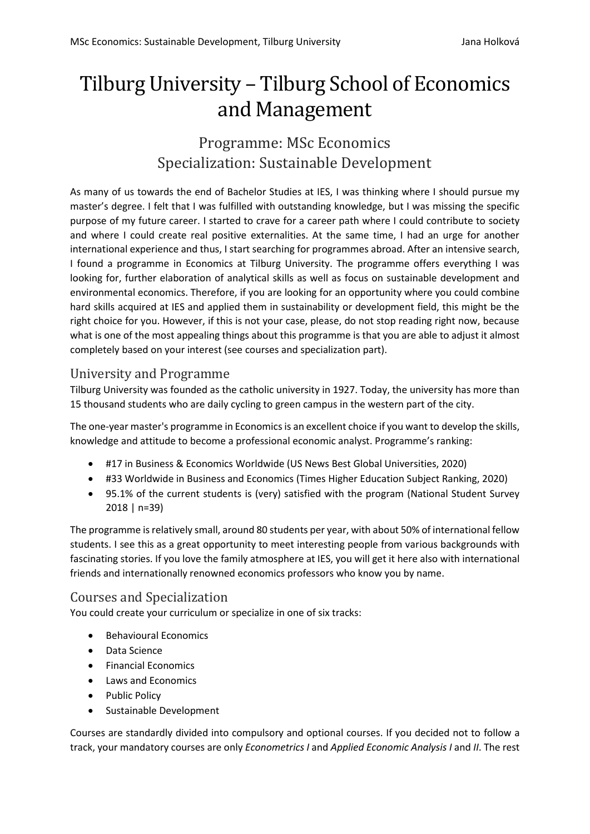# Tilburg University – Tilburg School of Economics and Management

## Programme: MSc Economics Specialization: Sustainable Development

As many of us towards the end of Bachelor Studies at IES, I was thinking where I should pursue my master's degree. I felt that I was fulfilled with outstanding knowledge, but I was missing the specific purpose of my future career. I started to crave for a career path where I could contribute to society and where I could create real positive externalities. At the same time, I had an urge for another international experience and thus, I start searching for programmes abroad. After an intensive search, I found a programme in Economics at Tilburg University. The programme offers everything I was looking for, further elaboration of analytical skills as well as focus on sustainable development and environmental economics. Therefore, if you are looking for an opportunity where you could combine hard skills acquired at IES and applied them in sustainability or development field, this might be the right choice for you. However, if this is not your case, please, do not stop reading right now, because what is one of the most appealing things about this programme is that you are able to adjust it almost completely based on your interest (see courses and specialization part).

## University and Programme

Tilburg University was founded as the catholic university in 1927. Today, the university has more than 15 thousand students who are daily cycling to green campus in the western part of the city.

The one-year master's programme in Economics is an excellent choice if you want to develop the skills, knowledge and attitude to become a professional economic analyst. Programme's ranking:

- #17 in Business & Economics Worldwide (US News Best Global Universities, 2020)
- #33 Worldwide in Business and Economics (Times Higher Education Subject Ranking, 2020)
- 95.1% of the current students is (very) satisfied with the program (National Student Survey 2018 | n=39)

The programme is relatively small, around 80 students per year, with about 50% of international fellow students. I see this as a great opportunity to meet interesting people from various backgrounds with fascinating stories. If you love the family atmosphere at IES, you will get it here also with international friends and internationally renowned economics professors who know you by name.

### Courses and Specialization

You could create your curriculum or specialize in one of six tracks:

- Behavioural Economics
- Data Science
- Financial Economics
- Laws and Economics
- Public Policy
- Sustainable Development

Courses are standardly divided into compulsory and optional courses. If you decided not to follow a track, your mandatory courses are only *Econometrics I* and *Applied Economic Analysis I* and *II*. The rest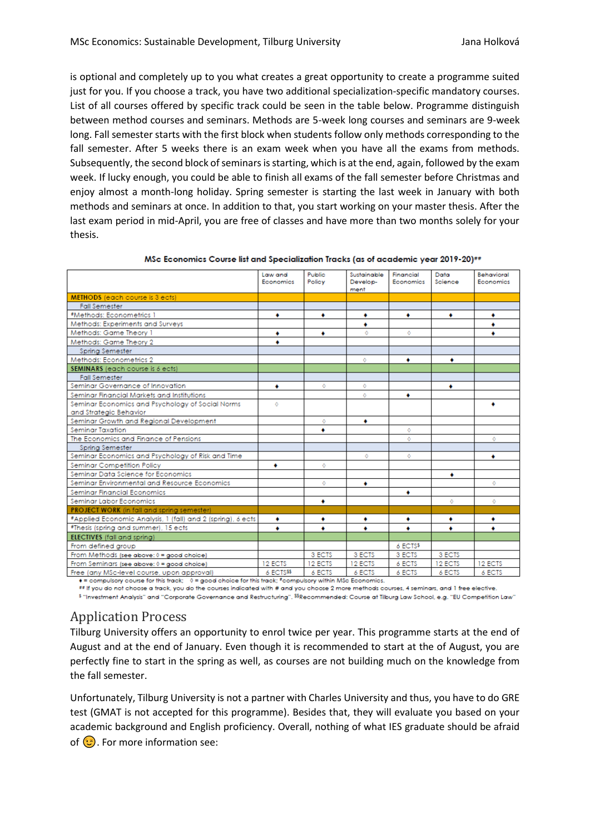is optional and completely up to you what creates a great opportunity to create a programme suited just for you. If you choose a track, you have two additional specialization-specific mandatory courses. List of all courses offered by specific track could be seen in the table below. Programme distinguish between method courses and seminars. Methods are 5-week long courses and seminars are 9-week long. Fall semester starts with the first block when students follow only methods corresponding to the fall semester. After 5 weeks there is an exam week when you have all the exams from methods. Subsequently, the second block of seminars is starting, which is at the end, again, followed by the exam week. If lucky enough, you could be able to finish all exams of the fall semester before Christmas and enjoy almost a month-long holiday. Spring semester is starting the last week in January with both methods and seminars at once. In addition to that, you start working on your master thesis. After the last exam period in mid-April, you are free of classes and have more than two months solely for your thesis.

|                                                                                                                                                     | Law and<br>Economics | Public<br>Policy | Sustainable<br>Develop-<br>ment        | Financial<br>Economics | Data<br>Science | Behavioral<br>Economics |
|-----------------------------------------------------------------------------------------------------------------------------------------------------|----------------------|------------------|----------------------------------------|------------------------|-----------------|-------------------------|
| <b>METHODS</b> (each course is 3 ects)                                                                                                              |                      |                  |                                        |                        |                 |                         |
| <b>Fall Semester</b>                                                                                                                                |                      |                  |                                        |                        |                 |                         |
| #Methods: Econometrics 1                                                                                                                            | ٠                    | ٠                | ٠                                      | ٠                      | ٠               | ٠                       |
| Methods: Experiments and Surveys                                                                                                                    |                      |                  | ٠                                      |                        |                 | ٠                       |
| Methods: Game Theory 1                                                                                                                              | ۰                    | ٠                | Ō                                      | Ō                      |                 | ٠                       |
| Methods: Game Theory 2                                                                                                                              | ٠                    |                  |                                        |                        |                 |                         |
| Spring Semester                                                                                                                                     |                      |                  |                                        |                        |                 |                         |
| Methods: Econometrics 2                                                                                                                             |                      |                  | $\circ$                                | ٠                      | ٠               |                         |
| SEMINARS (each course is 6 ects)                                                                                                                    |                      |                  |                                        |                        |                 |                         |
| <b>Fall Semester</b>                                                                                                                                |                      |                  |                                        |                        |                 |                         |
| Seminar Governance of Innovation                                                                                                                    | ٠                    | ♦                | Ō.                                     |                        | ٠               |                         |
| Seminar Financial Markets and Institutions                                                                                                          |                      |                  | Ō.                                     | ٠                      |                 |                         |
| Seminar Economics and Psychology of Social Norms                                                                                                    | ō                    |                  |                                        |                        |                 | ٠                       |
| and Strategic Behavior                                                                                                                              |                      |                  |                                        |                        |                 |                         |
| Seminar Growth and Regional Development                                                                                                             |                      | ♦                | ٠                                      |                        |                 |                         |
| <b>Seminar Taxation</b>                                                                                                                             |                      | ٠                |                                        | ♦                      |                 |                         |
| The Economics and Finance of Pensions                                                                                                               |                      |                  |                                        | Ō                      |                 | ō                       |
| <b>Spring Semester</b>                                                                                                                              |                      |                  |                                        |                        |                 |                         |
| Seminar Economics and Psychology of Risk and Time                                                                                                   |                      |                  | Ō                                      | Ō                      |                 | ٠                       |
| Seminar Competition Policy                                                                                                                          | ٠                    | $\Diamond$       |                                        |                        |                 |                         |
| Seminar Data Science for Economics                                                                                                                  |                      |                  |                                        |                        | ٠               |                         |
| Seminar Environmental and Resource Economics                                                                                                        |                      | ō                | ٠                                      |                        |                 | ō                       |
| Seminar Financial Economics                                                                                                                         |                      |                  |                                        | ٠                      |                 |                         |
| Seminar Labor Economics                                                                                                                             |                      | ٠                |                                        |                        | Ō.              | ō                       |
| PROJECT WORK (in fall and spring semester)                                                                                                          |                      |                  |                                        |                        |                 |                         |
| *Applied Economic Analysis, 1 (fall) and 2 (spring), 6 ects                                                                                         | ٠                    | ٠                | ۰                                      | ٠                      | ٠               | ٠                       |
| #Thesis (spring and summer), 15 ects                                                                                                                | ٠                    | ٠                | ٠                                      | ٠                      | ٠               | ٠                       |
| <b>ELECTIVES</b> (fall and spring)                                                                                                                  |                      |                  |                                        |                        |                 |                         |
| From defined group                                                                                                                                  |                      |                  |                                        | 6 ECTS\$               |                 |                         |
| From Methods (see above: 0 = good choice)                                                                                                           |                      | 3 ECTS           | 3 ECTS                                 | 3 ECTS                 | 3 ECTS          |                         |
| From Seminars (see above: 0 = good choice)                                                                                                          | 12 ECTS              | 12 ECTS          | 12 ECTS                                | 6 ECTS                 | 12 ECTS         | 12 ECTS                 |
| Free (any MSc-level course, upon approval)<br>A member of the company of the Hotel America. A member of which is the distribution of the set of the | 6 ECTS特              | 6 ECTS           | 6 ECTS<br>constitute and constructions | 6 ECTS                 | 6 ECTS          | 6 ECTS                  |

MSc Economics Course list and Specialization Tracks (as of academic year 2019-20)##

 $0 =$  good choice for this track; \*compulsory within MSc Economics. compulsory course for this track;

## If you do not choose a track, you do the courses indicated with # and you choose 2 more methods courses, 4 seminars, and 1 free elective.

\$ "Investment Analysis" and "Corporate Governance and Restructuring". \$\$Recommended: Course at Tilburg Law School, e.g. "EU Competition Law"

### Application Process

Tilburg University offers an opportunity to enrol twice per year. This programme starts at the end of August and at the end of January. Even though it is recommended to start at the of August, you are perfectly fine to start in the spring as well, as courses are not building much on the knowledge from the fall semester.

Unfortunately, Tilburg University is not a partner with Charles University and thus, you have to do GRE test (GMAT is not accepted for this programme). Besides that, they will evaluate you based on your academic background and English proficiency. Overall, nothing of what IES graduate should be afraid of  $\odot$ . For more information see: